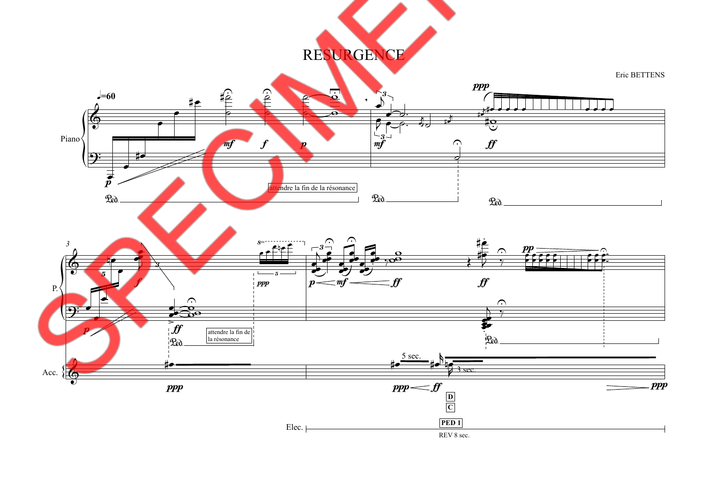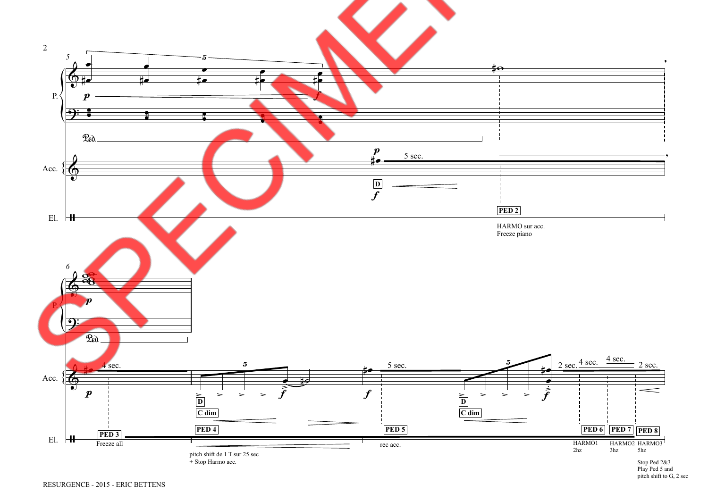

Stop Ped 2&3<br>Play Ped 5 and<br>pitch shift to G, 2 sec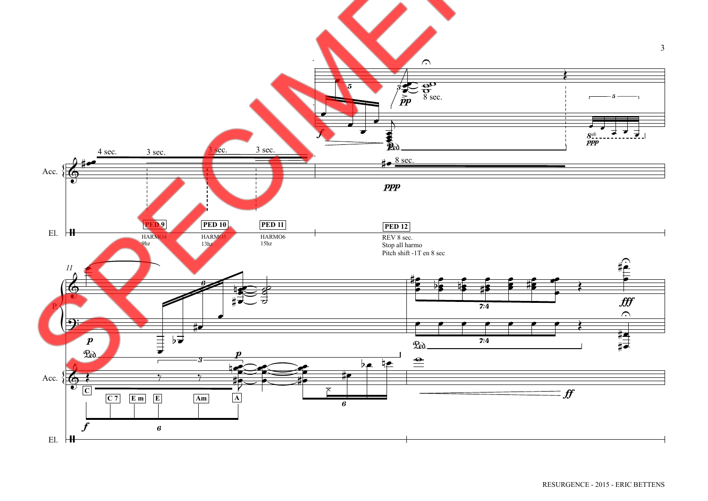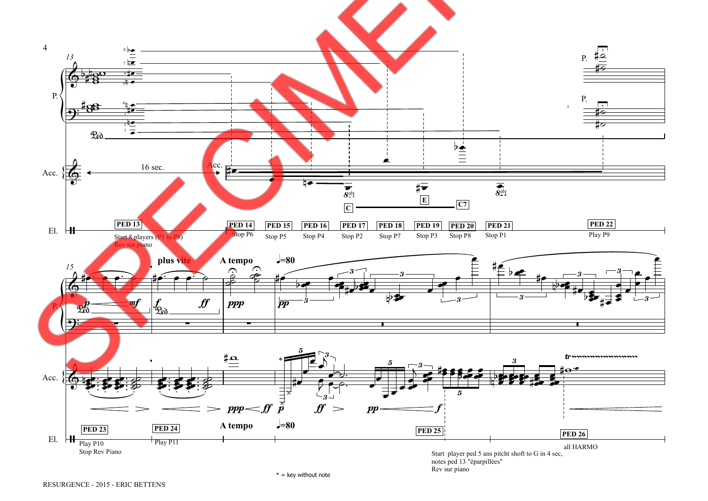